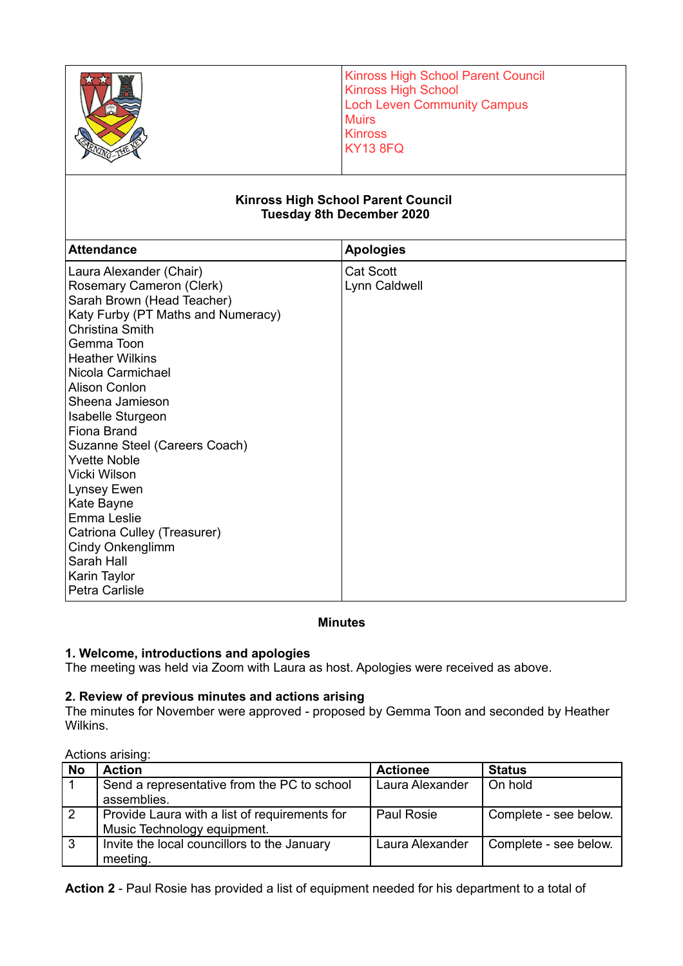|                                                                                                                                                                                                                                                                                                                                                                                                                                                                                                                             | <b>Kinross High School Parent Council</b><br><b>Kinross High School</b><br><b>Loch Leven Community Campus</b><br><b>Muirs</b><br><b>Kinross</b><br><b>KY13 8FQ</b><br><b>Kinross High School Parent Council</b><br><b>Tuesday 8th December 2020</b> |  |  |
|-----------------------------------------------------------------------------------------------------------------------------------------------------------------------------------------------------------------------------------------------------------------------------------------------------------------------------------------------------------------------------------------------------------------------------------------------------------------------------------------------------------------------------|-----------------------------------------------------------------------------------------------------------------------------------------------------------------------------------------------------------------------------------------------------|--|--|
| <b>Attendance</b>                                                                                                                                                                                                                                                                                                                                                                                                                                                                                                           |                                                                                                                                                                                                                                                     |  |  |
| Laura Alexander (Chair)<br>Rosemary Cameron (Clerk)<br>Sarah Brown (Head Teacher)<br>Katy Furby (PT Maths and Numeracy)<br>Christina Smith<br>Gemma Toon<br><b>Heather Wilkins</b><br>Nicola Carmichael<br><b>Alison Conlon</b><br>Sheena Jamieson<br>Isabelle Sturgeon<br><b>Fiona Brand</b><br>Suzanne Steel (Careers Coach)<br><b>Yvette Noble</b><br>Vicki Wilson<br>Lynsey Ewen<br>Kate Bayne<br>Emma Leslie<br>Catriona Culley (Treasurer)<br><b>Cindy Onkenglimm</b><br>Sarah Hall<br>Karin Taylor<br>Petra Carlisle | <b>Apologies</b><br><b>Cat Scott</b><br>Lynn Caldwell                                                                                                                                                                                               |  |  |

# **Minutes**

# **1. Welcome, introductions and apologies**

The meeting was held via Zoom with Laura as host. Apologies were received as above.

## **2. Review of previous minutes and actions arising**

The minutes for November were approved - proposed by Gemma Toon and seconded by Heather Wilkins.

## Actions arising:

| <b>No</b>    | <b>Action</b>                                 | <b>Actionee</b> | <b>Status</b>         |
|--------------|-----------------------------------------------|-----------------|-----------------------|
|              | Send a representative from the PC to school   | Laura Alexander | On hold               |
|              | assemblies.                                   |                 |                       |
|              | Provide Laura with a list of requirements for | Paul Rosie      | Complete - see below. |
|              | Music Technology equipment.                   |                 |                       |
| $\mathbf{3}$ | Invite the local councillors to the January   | Laura Alexander | Complete - see below. |
|              | meeting.                                      |                 |                       |

**Action 2** - Paul Rosie has provided a list of equipment needed for his department to a total of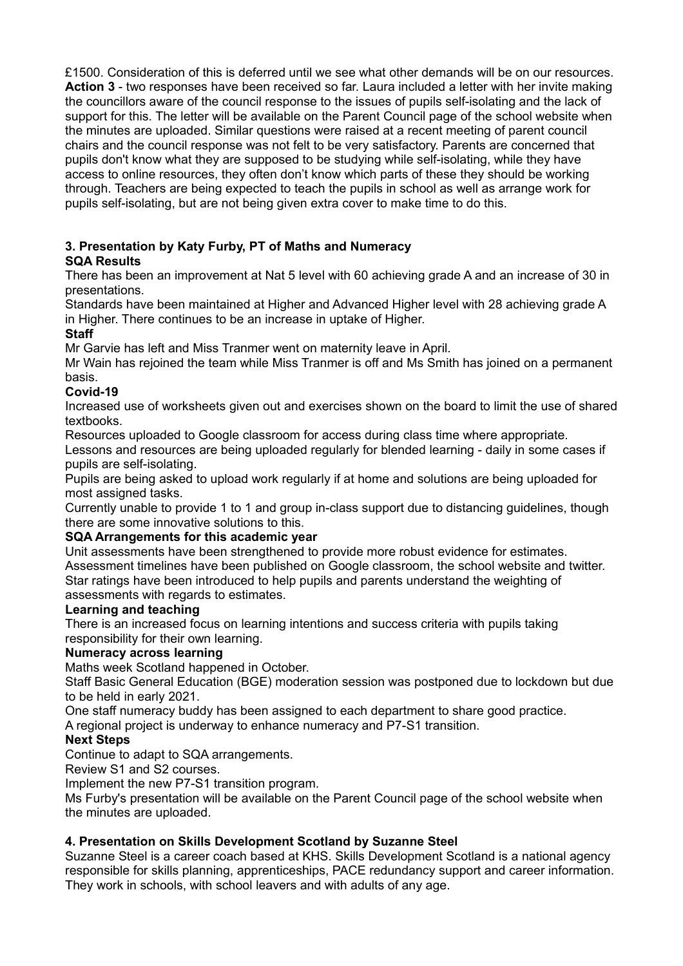£1500. Consideration of this is deferred until we see what other demands will be on our resources. **Action 3** - two responses have been received so far. Laura included a letter with her invite making the councillors aware of the council response to the issues of pupils self-isolating and the lack of support for this. The letter will be available on the Parent Council page of the school website when the minutes are uploaded. Similar questions were raised at a recent meeting of parent council chairs and the council response was not felt to be very satisfactory. Parents are concerned that pupils don't know what they are supposed to be studying while self-isolating, while they have access to online resources, they often don't know which parts of these they should be working through. Teachers are being expected to teach the pupils in school as well as arrange work for pupils self-isolating, but are not being given extra cover to make time to do this.

## **3. Presentation by Katy Furby, PT of Maths and Numeracy SQA Results**

There has been an improvement at Nat 5 level with 60 achieving grade A and an increase of 30 in presentations.

Standards have been maintained at Higher and Advanced Higher level with 28 achieving grade A in Higher. There continues to be an increase in uptake of Higher.

# **Staff**

Mr Garvie has left and Miss Tranmer went on maternity leave in April.

Mr Wain has rejoined the team while Miss Tranmer is off and Ms Smith has joined on a permanent basis.

# **Covid-19**

Increased use of worksheets given out and exercises shown on the board to limit the use of shared textbooks.

Resources uploaded to Google classroom for access during class time where appropriate.

Lessons and resources are being uploaded regularly for blended learning - daily in some cases if pupils are self-isolating.

Pupils are being asked to upload work regularly if at home and solutions are being uploaded for most assigned tasks.

Currently unable to provide 1 to 1 and group in-class support due to distancing guidelines, though there are some innovative solutions to this.

# **SQA Arrangements for this academic year**

Unit assessments have been strengthened to provide more robust evidence for estimates. Assessment timelines have been published on Google classroom, the school website and twitter. Star ratings have been introduced to help pupils and parents understand the weighting of assessments with regards to estimates.

# **Learning and teaching**

There is an increased focus on learning intentions and success criteria with pupils taking responsibility for their own learning.

## **Numeracy across learning**

Maths week Scotland happened in October.

Staff Basic General Education (BGE) moderation session was postponed due to lockdown but due to be held in early 2021.

One staff numeracy buddy has been assigned to each department to share good practice.

A regional project is underway to enhance numeracy and P7-S1 transition.

# **Next Steps**

Continue to adapt to SQA arrangements.

Review S1 and S2 courses.

Implement the new P7-S1 transition program.

Ms Furby's presentation will be available on the Parent Council page of the school website when the minutes are uploaded.

# **4. Presentation on Skills Development Scotland by Suzanne Steel**

Suzanne Steel is a career coach based at KHS. Skills Development Scotland is a national agency responsible for skills planning, apprenticeships, PACE redundancy support and career information. They work in schools, with school leavers and with adults of any age.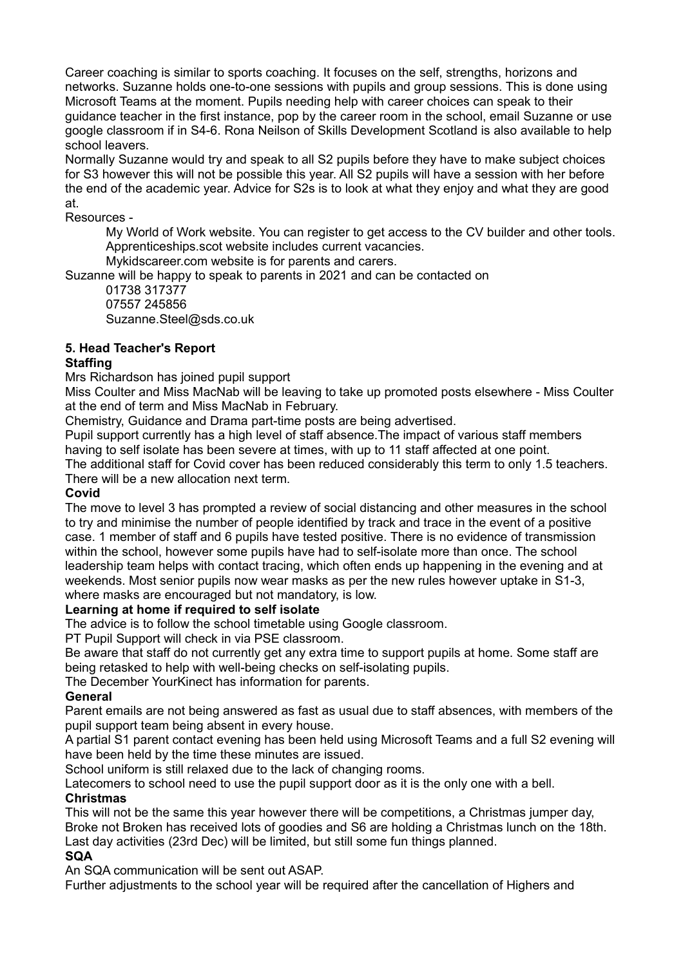Career coaching is similar to sports coaching. It focuses on the self, strengths, horizons and networks. Suzanne holds one-to-one sessions with pupils and group sessions. This is done using Microsoft Teams at the moment. Pupils needing help with career choices can speak to their guidance teacher in the first instance, pop by the career room in the school, email Suzanne or use google classroom if in S4-6. Rona Neilson of Skills Development Scotland is also available to help school leavers.

Normally Suzanne would try and speak to all S2 pupils before they have to make subject choices for S3 however this will not be possible this year. All S2 pupils will have a session with her before the end of the academic year. Advice for S2s is to look at what they enjoy and what they are good at.

Resources -

My World of Work website. You can register to get access to the CV builder and other tools. Apprenticeships.scot website includes current vacancies.

Mykidscareer.com website is for parents and carers.

Suzanne will be happy to speak to parents in 2021 and can be contacted on

01738 317377 07557 245856 Suzanne.Steel@sds.co.uk

# **5. Head Teacher's Report**

## **Staffing**

Mrs Richardson has joined pupil support

Miss Coulter and Miss MacNab will be leaving to take up promoted posts elsewhere - Miss Coulter at the end of term and Miss MacNab in February.

Chemistry, Guidance and Drama part-time posts are being advertised.

Pupil support currently has a high level of staff absence.The impact of various staff members having to self isolate has been severe at times, with up to 11 staff affected at one point.

The additional staff for Covid cover has been reduced considerably this term to only 1.5 teachers. There will be a new allocation next term.

## **Covid**

The move to level 3 has prompted a review of social distancing and other measures in the school to try and minimise the number of people identified by track and trace in the event of a positive case. 1 member of staff and 6 pupils have tested positive. There is no evidence of transmission within the school, however some pupils have had to self-isolate more than once. The school leadership team helps with contact tracing, which often ends up happening in the evening and at weekends. Most senior pupils now wear masks as per the new rules however uptake in S1-3, where masks are encouraged but not mandatory, is low.

## **Learning at home if required to self isolate**

The advice is to follow the school timetable using Google classroom.

PT Pupil Support will check in via PSE classroom.

Be aware that staff do not currently get any extra time to support pupils at home. Some staff are being retasked to help with well-being checks on self-isolating pupils.

The December YourKinect has information for parents.

## **General**

Parent emails are not being answered as fast as usual due to staff absences, with members of the pupil support team being absent in every house.

A partial S1 parent contact evening has been held using Microsoft Teams and a full S2 evening will have been held by the time these minutes are issued.

School uniform is still relaxed due to the lack of changing rooms.

Latecomers to school need to use the pupil support door as it is the only one with a bell. **Christmas**

This will not be the same this year however there will be competitions, a Christmas jumper day, Broke not Broken has received lots of goodies and S6 are holding a Christmas lunch on the 18th.

Last day activities (23rd Dec) will be limited, but still some fun things planned.

## **SQA**

An SQA communication will be sent out ASAP.

Further adjustments to the school year will be required after the cancellation of Highers and